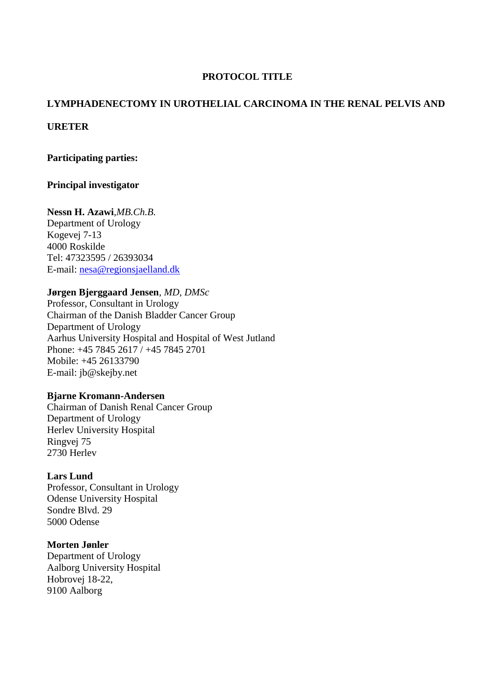# **PROTOCOL TITLE**

# **LYMPHADENECTOMY IN UROTHELIAL CARCINOMA IN THE RENAL PELVIS AND**

## **URETER**

## **Participating parties:**

## **Principal investigator**

**Nessn H. Azawi***,MB.Ch.B.* Department of Urology Kogevej 7-13 4000 Roskilde Tel: 47323595 / 26393034 E-mail: [nesa@regionsjaelland.dk](mailto:nesa@regionsjaelland.dk)

## **Jørgen Bjerggaard Jensen***, MD, DMSc*

Professor, Consultant in Urology Chairman of the Danish Bladder Cancer Group Department of Urology Aarhus University Hospital and Hospital of West Jutland Phone: +45 7845 2617 / +45 7845 2701 Mobile: +45 26133790 E-mail: [jb@skejby.net](javascript:_e(%7B%7D,)

## **Bjarne Kromann-Andersen**

Chairman of Danish Renal Cancer Group Department of Urology Herlev University Hospital Ringvej 75 2730 Herlev

## **Lars Lund**

Professor, Consultant in Urology Odense University Hospital Sondre Blvd. 29 5000 Odense

## **Morten Jønler**

Department of Urology Aalborg University Hospital Hobrovej 18-22, 9100 Aalborg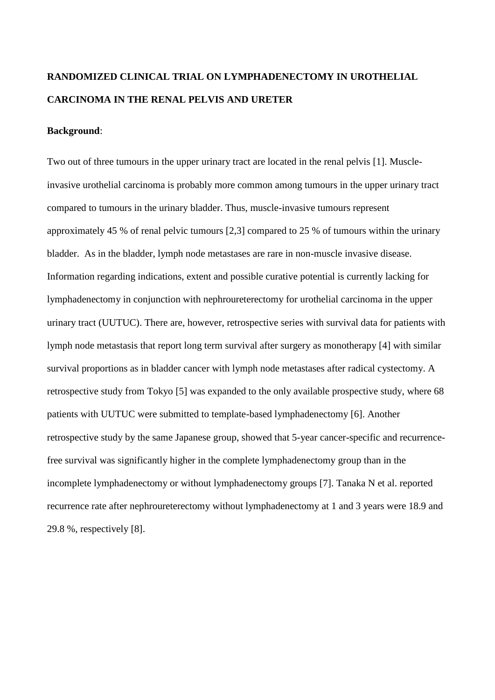# **RANDOMIZED CLINICAL TRIAL ON LYMPHADENECTOMY IN UROTHELIAL CARCINOMA IN THE RENAL PELVIS AND URETER**

#### **Background**:

Two out of three tumours in the upper urinary tract are located in the renal pelvis [1]. Muscleinvasive urothelial carcinoma is probably more common among tumours in the upper urinary tract compared to tumours in the urinary bladder. Thus, muscle-invasive tumours represent approximately 45 % of renal pelvic tumours [2,3] compared to 25 % of tumours within the urinary bladder. As in the bladder, lymph node metastases are rare in non-muscle invasive disease. Information regarding indications, extent and possible curative potential is currently lacking for lymphadenectomy in conjunction with nephroureterectomy for urothelial carcinoma in the upper urinary tract (UUTUC). There are, however, retrospective series with survival data for patients with lymph node metastasis that report long term survival after surgery as monotherapy [4] with similar survival proportions as in bladder cancer with lymph node metastases after radical cystectomy. A retrospective study from Tokyo [5] was expanded to the only available prospective study, where 68 patients with UUTUC were submitted to template-based lymphadenectomy [6]. Another retrospective study by the same Japanese group, showed that 5-year cancer-specific and recurrencefree survival was significantly higher in the complete lymphadenectomy group than in the incomplete lymphadenectomy or without lymphadenectomy groups [7]. Tanaka N et al. reported recurrence rate after nephroureterectomy without lymphadenectomy at 1 and 3 years were 18.9 and 29.8 %, respectively [8].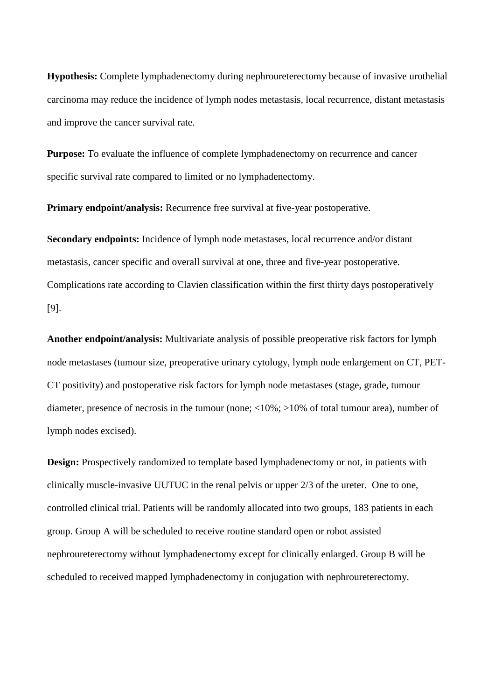**Hypothesis:** Complete lymphadenectomy during nephroureterectomy because of invasive urothelial carcinoma may reduce the incidence of lymph nodes metastasis, local recurrence, distant metastasis and improve the cancer survival rate.

**Purpose:** To evaluate the influence of complete lymphadenectomy on recurrence and cancer specific survival rate compared to limited or no lymphadenectomy.

**Primary endpoint/analysis:** Recurrence free survival at five-year postoperative.

**Secondary endpoints:** Incidence of lymph node metastases, local recurrence and/or distant metastasis, cancer specific and overall survival at one, three and five-year postoperative. Complications rate according to Clavien classification within the first thirty days postoperatively [9].

**Another endpoint/analysis:** Multivariate analysis of possible preoperative risk factors for lymph node metastases (tumour size, preoperative urinary cytology, lymph node enlargement on CT, PET-CT positivity) and postoperative risk factors for lymph node metastases (stage, grade, tumour diameter, presence of necrosis in the tumour (none; <10%; >10% of total tumour area), number of lymph nodes excised).

**Design:** Prospectively randomized to template based lymphadenectomy or not, in patients with clinically muscle-invasive UUTUC in the renal pelvis or upper 2/3 of the ureter. One to one, controlled clinical trial. Patients will be randomly allocated into two groups, 183 patients in each group. Group A will be scheduled to receive routine standard open or robot assisted nephroureterectomy without lymphadenectomy except for clinically enlarged. Group B will be scheduled to received mapped lymphadenectomy in conjugation with nephroureterectomy.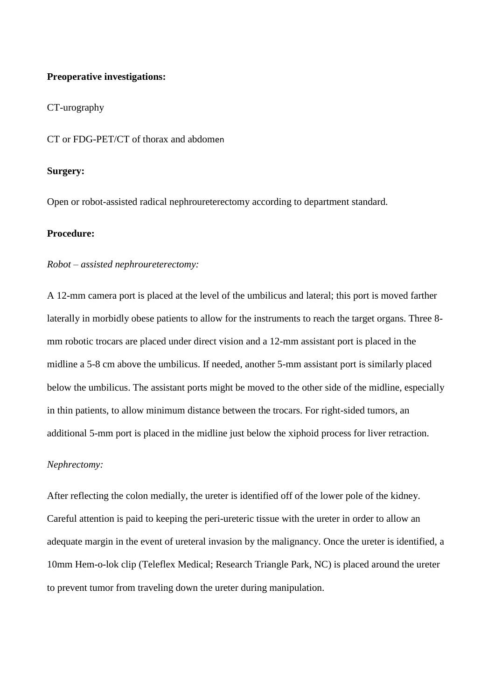#### **Preoperative investigations:**

#### CT-urography

CT or FDG-PET/CT of thorax and abdomen

#### **Surgery:**

Open or robot-assisted radical nephroureterectomy according to department standard.

## **Procedure:**

#### *Robot – assisted nephroureterectomy:*

A 12-mm camera port is placed at the level of the umbilicus and lateral; this port is moved farther laterally in morbidly obese patients to allow for the instruments to reach the target organs. Three 8 mm robotic trocars are placed under direct vision and a 12-mm assistant port is placed in the midline a 5-8 cm above the umbilicus. If needed, another 5-mm assistant port is similarly placed below the umbilicus. The assistant ports might be moved to the other side of the midline, especially in thin patients, to allow minimum distance between the trocars. For right-sided tumors, an additional 5-mm port is placed in the midline just below the xiphoid process for liver retraction.

#### *Nephrectomy:*

After reflecting the colon medially, the ureter is identified off of the lower pole of the kidney. Careful attention is paid to keeping the peri-ureteric tissue with the ureter in order to allow an adequate margin in the event of ureteral invasion by the malignancy. Once the ureter is identified, a 10mm Hem-o-lok clip (Teleflex Medical; Research Triangle Park, NC) is placed around the ureter to prevent tumor from traveling down the ureter during manipulation.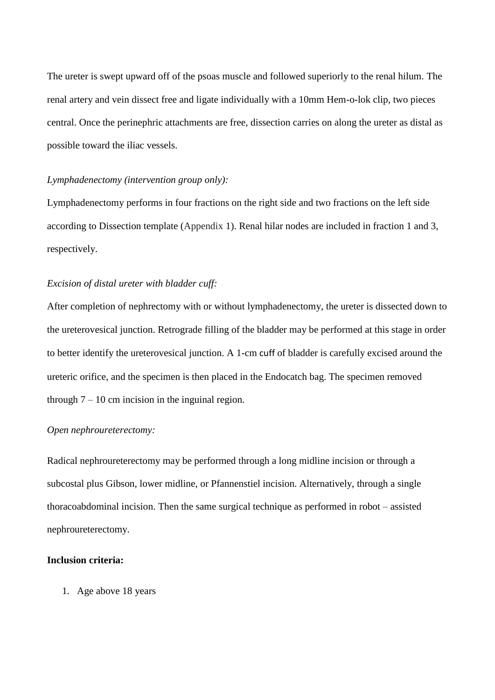The ureter is swept upward off of the psoas muscle and followed superiorly to the renal hilum. The renal artery and vein dissect free and ligate individually with a 10mm Hem-o-lok clip, two pieces central. Once the perinephric attachments are free, dissection carries on along the ureter as distal as possible toward the iliac vessels.

#### *Lymphadenectomy (intervention group only):*

Lymphadenectomy performs in four fractions on the right side and two fractions on the left side according to Dissection template (Appendix 1). Renal hilar nodes are included in fraction 1 and 3, respectively.

## *Excision of distal ureter with bladder cuff:*

After completion of nephrectomy with or without lymphadenectomy, the ureter is dissected down to the ureterovesical junction. Retrograde filling of the bladder may be performed at this stage in order to better identify the ureterovesical junction. A 1-cm cuff of bladder is carefully excised around the ureteric orifice, and the specimen is then placed in the Endocatch bag. The specimen removed through  $7 - 10$  cm incision in the inguinal region.

#### *Open nephroureterectomy:*

Radical nephroureterectomy may be performed through a long midline incision or through a subcostal plus Gibson, lower midline, or Pfannenstiel incision. Alternatively, through a single thoracoabdominal incision. Then the same surgical technique as performed in robot – assisted nephroureterectomy.

## **Inclusion criteria:**

1. Age above 18 years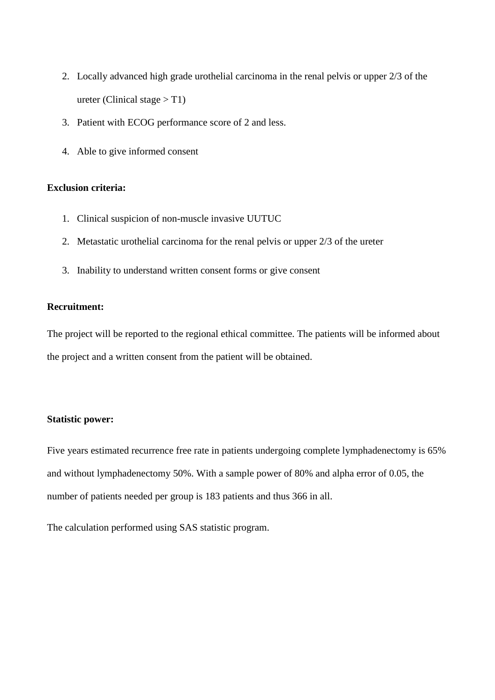- 2. Locally advanced high grade urothelial carcinoma in the renal pelvis or upper 2/3 of the ureter (Clinical stage  $> T1$ )
- 3. Patient with ECOG performance score of 2 and less.
- 4. Able to give informed consent

# **Exclusion criteria:**

- 1. Clinical suspicion of non-muscle invasive UUTUC
- 2. Metastatic urothelial carcinoma for the renal pelvis or upper 2/3 of the ureter
- 3. Inability to understand written consent forms or give consent

## **Recruitment:**

The project will be reported to the regional ethical committee. The patients will be informed about the project and a written consent from the patient will be obtained.

## **Statistic power:**

Five years estimated recurrence free rate in patients undergoing complete lymphadenectomy is 65% and without lymphadenectomy 50%. With a sample power of 80% and alpha error of 0.05, the number of patients needed per group is 183 patients and thus 366 in all.

The calculation performed using SAS statistic program.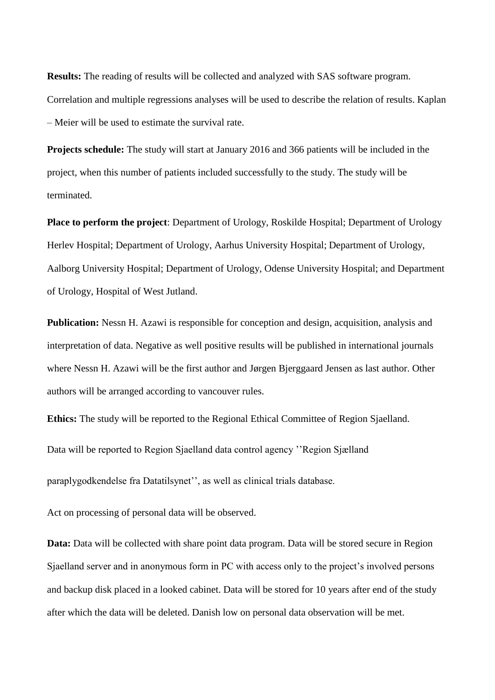**Results:** The reading of results will be collected and analyzed with SAS software program. Correlation and multiple regressions analyses will be used to describe the relation of results. Kaplan – Meier will be used to estimate the survival rate.

**Projects schedule:** The study will start at January 2016 and 366 patients will be included in the project, when this number of patients included successfully to the study. The study will be terminated.

**Place to perform the project**: Department of Urology, Roskilde Hospital; Department of Urology Herlev Hospital; Department of Urology, Aarhus University Hospital; Department of Urology, Aalborg University Hospital; Department of Urology, Odense University Hospital; and Department of Urology, Hospital of West Jutland.

**Publication:** Nessn H. Azawi is responsible for conception and design, acquisition, analysis and interpretation of data. Negative as well positive results will be published in international journals where Nessn H. Azawi will be the first author and Jørgen Bjerggaard Jensen as last author. Other authors will be arranged according to vancouver rules.

**Ethics:** The study will be reported to the Regional Ethical Committee of Region Sjaelland.

Data will be reported to Region Sjaelland data control agency ''Region Sjælland

paraplygodkendelse fra Datatilsynet'', as well as clinical trials database.

Act on processing of personal data will be observed.

**Data:** Data will be collected with share point data program. Data will be stored secure in Region Sjaelland server and in anonymous form in PC with access only to the project's involved persons and backup disk placed in a looked cabinet. Data will be stored for 10 years after end of the study after which the data will be deleted. Danish low on personal data observation will be met.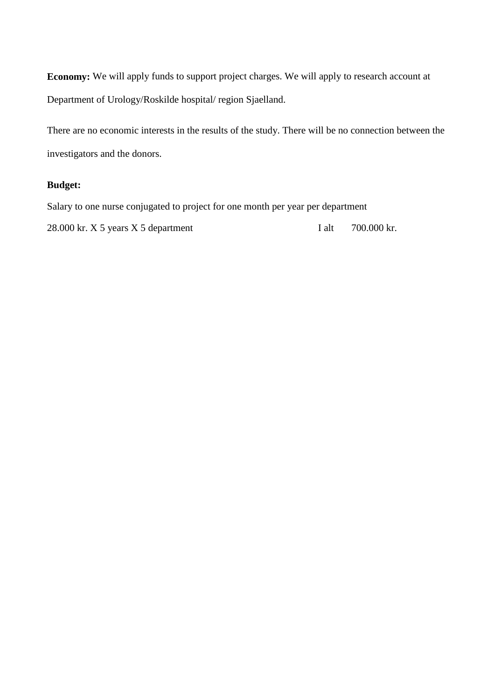**Economy:** We will apply funds to support project charges. We will apply to research account at Department of Urology/Roskilde hospital/ region Sjaelland.

There are no economic interests in the results of the study. There will be no connection between the investigators and the donors.

## **Budget:**

Salary to one nurse conjugated to project for one month per year per department

28.000 kr. X 5 years X 5 department I alt 700.000 kr.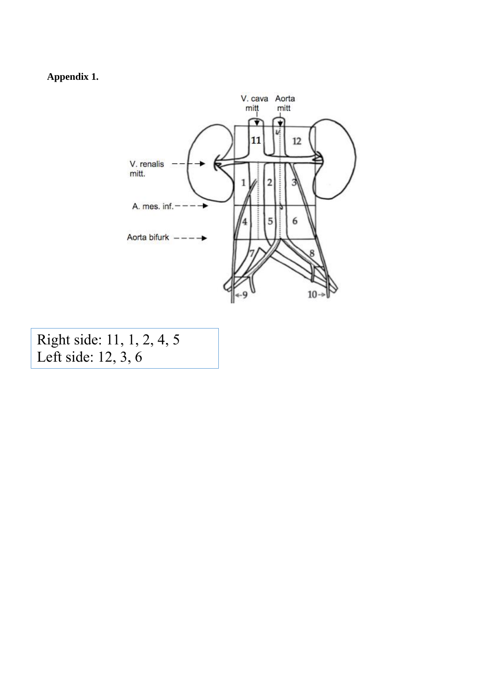**Appendix 1.** 



Right side: 11, 1, 2, 4, 5 Left side: 12, 3, 6